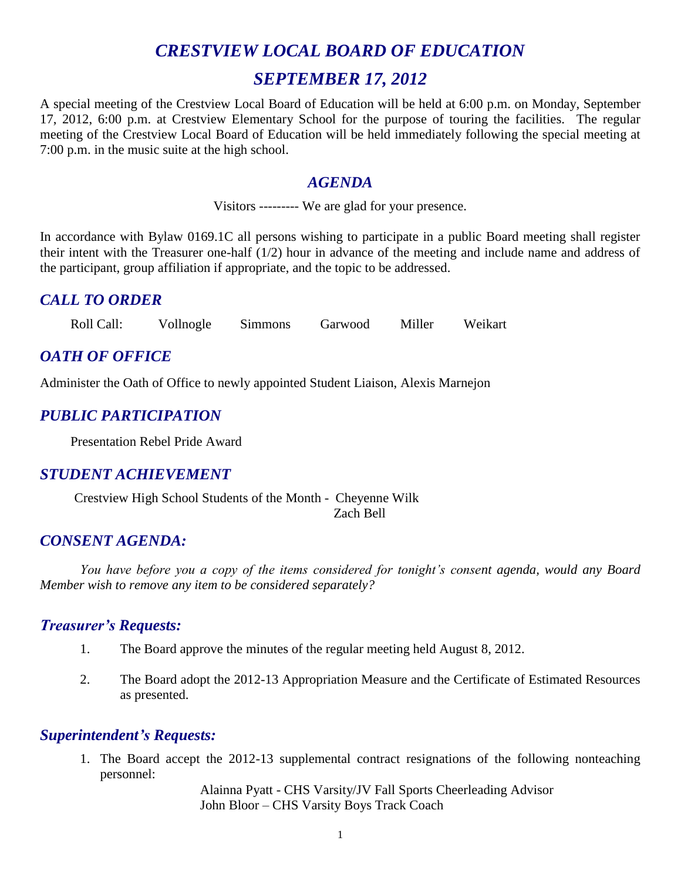# *CRESTVIEW LOCAL BOARD OF EDUCATION SEPTEMBER 17, 2012*

A special meeting of the Crestview Local Board of Education will be held at 6:00 p.m. on Monday, September 17, 2012, 6:00 p.m. at Crestview Elementary School for the purpose of touring the facilities. The regular meeting of the Crestview Local Board of Education will be held immediately following the special meeting at 7:00 p.m. in the music suite at the high school.

#### *AGENDA*

Visitors --------- We are glad for your presence.

In accordance with Bylaw 0169.1C all persons wishing to participate in a public Board meeting shall register their intent with the Treasurer one-half (1/2) hour in advance of the meeting and include name and address of the participant, group affiliation if appropriate, and the topic to be addressed.

# *CALL TO ORDER*

Roll Call: Vollnogle Simmons Garwood Miller Weikart

# *OATH OF OFFICE*

Administer the Oath of Office to newly appointed Student Liaison, Alexis Marnejon

# *PUBLIC PARTICIPATION*

Presentation Rebel Pride Award

# *STUDENT ACHIEVEMENT*

Crestview High School Students of the Month - Cheyenne Wilk Zach Bell

# *CONSENT AGENDA:*

*You have before you a copy of the items considered for tonight's consent agenda, would any Board Member wish to remove any item to be considered separately?*

## *Treasurer's Requests:*

- 1. The Board approve the minutes of the regular meeting held August 8, 2012.
- 2. The Board adopt the 2012-13 Appropriation Measure and the Certificate of Estimated Resources as presented.

## *Superintendent's Requests:*

1. The Board accept the 2012-13 supplemental contract resignations of the following nonteaching personnel:

> Alainna Pyatt - CHS Varsity/JV Fall Sports Cheerleading Advisor John Bloor – CHS Varsity Boys Track Coach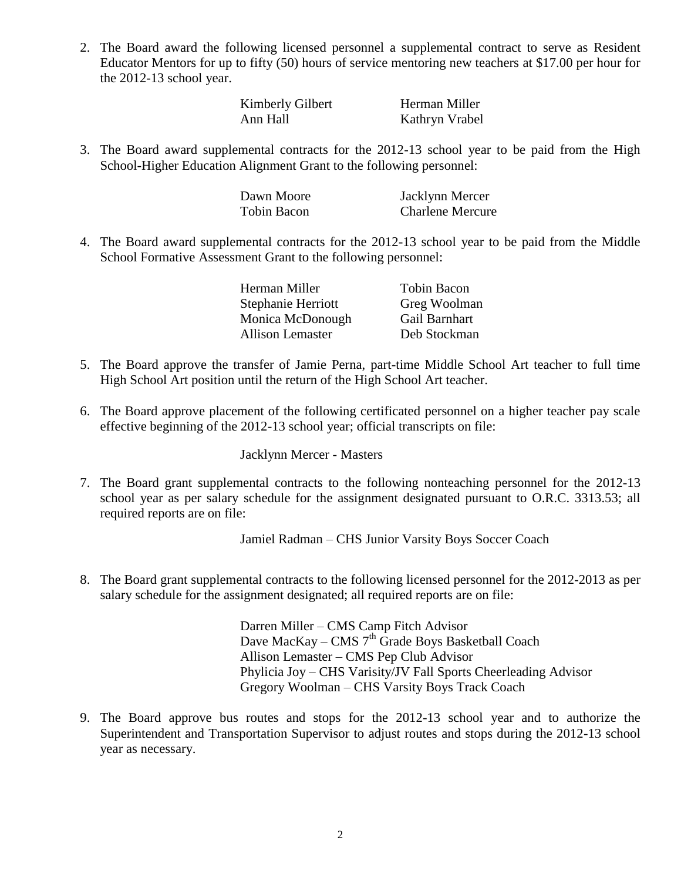2. The Board award the following licensed personnel a supplemental contract to serve as Resident Educator Mentors for up to fifty (50) hours of service mentoring new teachers at \$17.00 per hour for the 2012-13 school year.

| Kimberly Gilbert | Herman Miller  |
|------------------|----------------|
| Ann Hall         | Kathryn Vrabel |

3. The Board award supplemental contracts for the 2012-13 school year to be paid from the High School-Higher Education Alignment Grant to the following personnel:

| Dawn Moore  | Jacklynn Mercer         |
|-------------|-------------------------|
| Tobin Bacon | <b>Charlene Mercure</b> |

4. The Board award supplemental contracts for the 2012-13 school year to be paid from the Middle School Formative Assessment Grant to the following personnel:

| Herman Miller           | <b>Tobin Bacon</b> |
|-------------------------|--------------------|
| Stephanie Herriott      | Greg Woolman       |
| Monica McDonough        | Gail Barnhart      |
| <b>Allison Lemaster</b> | Deb Stockman       |

- 5. The Board approve the transfer of Jamie Perna, part-time Middle School Art teacher to full time High School Art position until the return of the High School Art teacher.
- 6. The Board approve placement of the following certificated personnel on a higher teacher pay scale effective beginning of the 2012-13 school year; official transcripts on file:

Jacklynn Mercer - Masters

7. The Board grant supplemental contracts to the following nonteaching personnel for the 2012-13 school year as per salary schedule for the assignment designated pursuant to O.R.C. 3313.53; all required reports are on file:

Jamiel Radman – CHS Junior Varsity Boys Soccer Coach

8. The Board grant supplemental contracts to the following licensed personnel for the 2012-2013 as per salary schedule for the assignment designated; all required reports are on file:

> Darren Miller – CMS Camp Fitch Advisor Dave MacKay – CMS  $7<sup>th</sup>$  Grade Boys Basketball Coach Allison Lemaster – CMS Pep Club Advisor Phylicia Joy – CHS Varisity/JV Fall Sports Cheerleading Advisor Gregory Woolman – CHS Varsity Boys Track Coach

9. The Board approve bus routes and stops for the 2012-13 school year and to authorize the Superintendent and Transportation Supervisor to adjust routes and stops during the 2012-13 school year as necessary.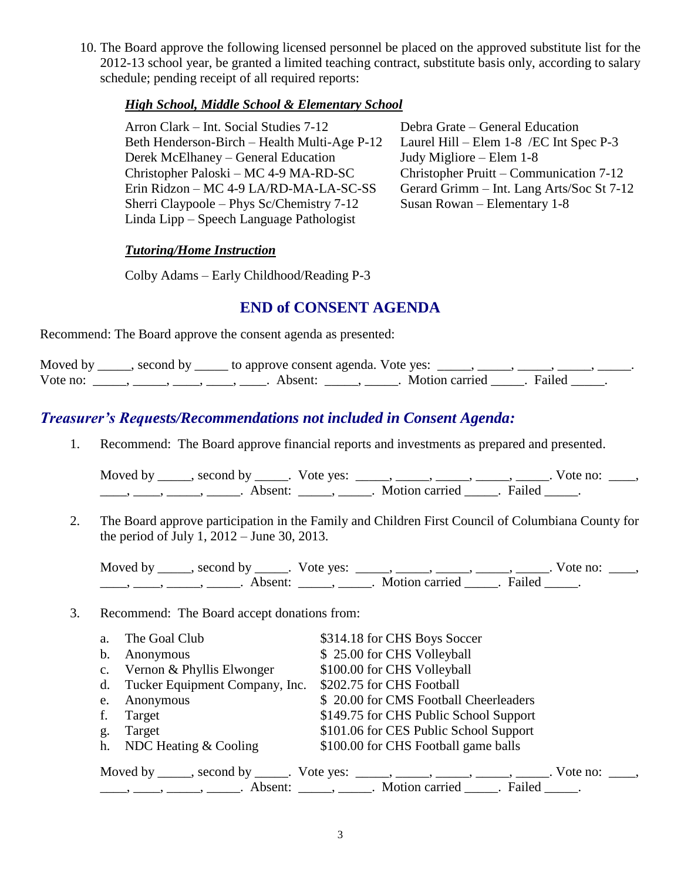10. The Board approve the following licensed personnel be placed on the approved substitute list for the 2012-13 school year, be granted a limited teaching contract, substitute basis only, according to salary schedule; pending receipt of all required reports:

#### *High School, Middle School & Elementary School*

Arron Clark – Int. Social Studies 7-12 Debra Grate – General Education Beth Henderson-Birch – Health Multi-Age P-12 Laurel Hill – Elem 1-8 /EC Int Spec P-3 Derek McElhaney – General Education Judy Migliore – Elem 1-8 Christopher Paloski – MC 4-9 MA-RD-SC Christopher Pruitt – Communication 7-12 Erin Ridzon – MC 4-9 LA/RD-MA-LA-SC-SS Gerard Grimm – Int. Lang Arts/Soc St 7-12 Sherri Claypoole – Phys Sc/Chemistry 7-12 Susan Rowan – Elementary 1-8 Linda Lipp – Speech Language Pathologist

#### *Tutoring/Home Instruction*

Colby Adams – Early Childhood/Reading P-3

## **END of CONSENT AGENDA**

Recommend: The Board approve the consent agenda as presented:

|          |                                           | Moved by _____, second by _____ to approve consent agenda. Vote yes: _____, _____, _____, _____, |                           |  |
|----------|-------------------------------------------|--------------------------------------------------------------------------------------------------|---------------------------|--|
| Vote no: | $\sim$ $\sim$ $\sim$ $\sim$ $\sim$ $\sim$ | Absent:                                                                                          | . Motion carried . Failed |  |

# *Treasurer's Requests/Recommendations not included in Consent Agenda:*

1. Recommend: The Board approve financial reports and investments as prepared and presented.

| Moved by | , second by         | Vote yes: |                |        | Vote no: |  |
|----------|---------------------|-----------|----------------|--------|----------|--|
|          | Absent <sup>.</sup> |           | Motion carried | Failed |          |  |

2. The Board approve participation in the Family and Children First Council of Columbiana County for the period of July 1, 2012 – June 30, 2013.

Moved by \_\_\_\_\_, second by \_\_\_\_\_. Vote yes:  $\_\_\_\_\_\_\_\_\_\_\_\_\_\_\_\_\_\_\_$  \_\_\_\_, \_\_\_\_, \_\_\_\_. Vote no:  $\_\_\_\_\_\$ \_\_\_\_, \_\_\_\_\_, \_\_\_\_\_\_, Absent: \_\_\_\_\_, \_\_\_\_\_. Motion carried \_\_\_\_\_. Failed \_\_\_\_\_.

#### 3. Recommend: The Board accept donations from:

| a.                                                                                           | The Goal Club                     | \$314.18 for CHS Boys Soccer                                                                                                                                                                                                                                                                                                                                                                                                |  |  |
|----------------------------------------------------------------------------------------------|-----------------------------------|-----------------------------------------------------------------------------------------------------------------------------------------------------------------------------------------------------------------------------------------------------------------------------------------------------------------------------------------------------------------------------------------------------------------------------|--|--|
| b.                                                                                           | Anonymous                         | \$25.00 for CHS Volleyball                                                                                                                                                                                                                                                                                                                                                                                                  |  |  |
|                                                                                              | c. Vernon & Phyllis Elwonger      | \$100.00 for CHS Volleyball                                                                                                                                                                                                                                                                                                                                                                                                 |  |  |
|                                                                                              | d. Tucker Equipment Company, Inc. | \$202.75 for CHS Football                                                                                                                                                                                                                                                                                                                                                                                                   |  |  |
| e.                                                                                           | Anonymous                         | \$20.00 for CMS Football Cheerleaders                                                                                                                                                                                                                                                                                                                                                                                       |  |  |
| f.                                                                                           | Target                            | \$149.75 for CHS Public School Support                                                                                                                                                                                                                                                                                                                                                                                      |  |  |
| g.                                                                                           | Target                            | \$101.06 for CES Public School Support                                                                                                                                                                                                                                                                                                                                                                                      |  |  |
|                                                                                              | h. NDC Heating & Cooling          | \$100.00 for CHS Football game balls                                                                                                                                                                                                                                                                                                                                                                                        |  |  |
| Moved by _____, second by _____. Vote yes: _____, _____, _____, _____, _____. Vote no: ____, |                                   |                                                                                                                                                                                                                                                                                                                                                                                                                             |  |  |
|                                                                                              |                                   | $\frac{1}{1}, \frac{1}{1}, \frac{1}{1}, \frac{1}{1}, \frac{1}{1}, \frac{1}{1}, \frac{1}{1}, \frac{1}{1}, \frac{1}{1}, \frac{1}{1}, \frac{1}{1}, \frac{1}{1}, \frac{1}{1}, \frac{1}{1}, \frac{1}{1}, \frac{1}{1}, \frac{1}{1}, \frac{1}{1}, \frac{1}{1}, \frac{1}{1}, \frac{1}{1}, \frac{1}{1}, \frac{1}{1}, \frac{1}{1}, \frac{1}{1}, \frac{1}{1}, \frac{1}{1}, \frac{1}{1}, \frac{1}{1}, \frac{1}{1}, \frac{1}{1}, \frac{$ |  |  |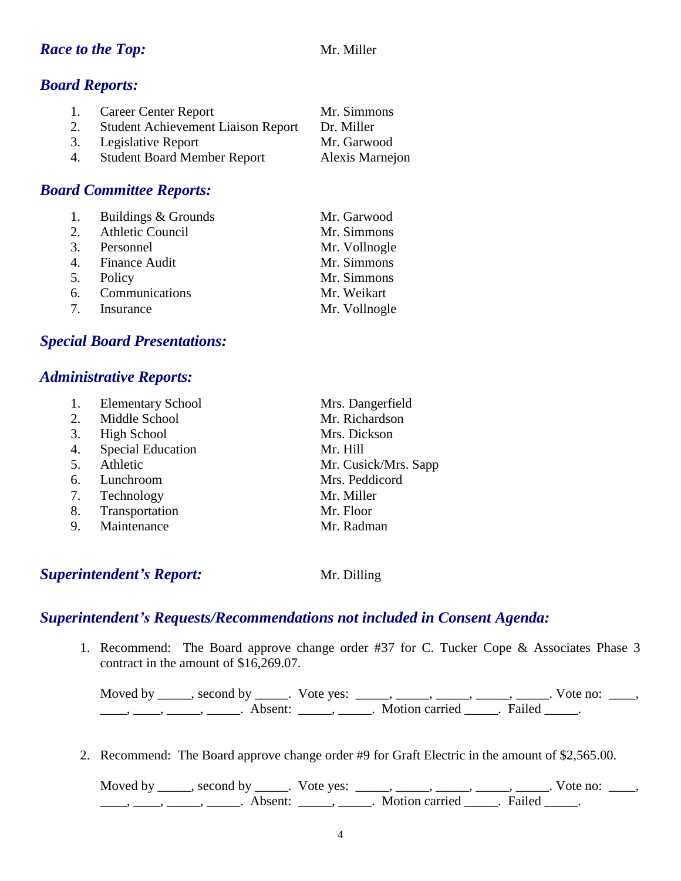#### *Race to the Top:* Mr. Miller

## *Board Reports:*

| 1. | Career Center Report                      | Mr. Simmons     |
|----|-------------------------------------------|-----------------|
| 2. | <b>Student Achievement Liaison Report</b> | Dr. Miller      |
|    | 3. Legislative Report                     | Mr. Garwood     |
| 4. | <b>Student Board Member Report</b>        | Alexis Marnejon |

#### *Board Committee Reports:*

| 1. Buildings & Grounds | Mr. Garwood   |
|------------------------|---------------|
| 2. Athletic Council    | Mr. Simmons   |
| 3. Personnel           | Mr. Vollnogle |
| 4. Finance Audit       | Mr. Simmons   |
| 5. Policy              | Mr. Simmons   |
| 6. Communications      | Mr. Weikart   |
| 7. Insurance           | Mr. Vollnogle |

## *Special Board Presentations:*

#### *Administrative Reports:*

| 1. | <b>Elementary School</b> | Mrs. Dangerfield     |
|----|--------------------------|----------------------|
| 2. | Middle School            | Mr. Richardson       |
| 3. | High School              | Mrs. Dickson         |
| 4. | <b>Special Education</b> | Mr. Hill             |
| 5. | Athletic                 | Mr. Cusick/Mrs. Sapp |
| 6. | Lunchroom                | Mrs. Peddicord       |
| 7. | Technology               | Mr. Miller           |
| 8. | Transportation           | Mr. Floor            |
| 9. | Maintenance              | Mr. Radman           |
|    |                          |                      |

## **Superintendent's Report:** Mr. Dilling

## *Superintendent's Requests/Recommendations not included in Consent Agenda:*

1. Recommend: The Board approve change order #37 for C. Tucker Cope & Associates Phase 3 contract in the amount of \$16,269.07.

Moved by \_\_\_\_\_, second by \_\_\_\_\_. Vote yes:  $\frac{1}{\sqrt{2}}$ , \_\_\_\_, \_\_\_\_, \_\_\_\_, \_\_\_\_. Vote no: \_\_\_, \_\_\_\_\_, \_\_\_\_\_\_, \_\_\_\_\_\_\_. Absent: \_\_\_\_\_\_, \_\_\_\_\_\_. Motion carried \_\_\_\_\_\_. Failed \_\_\_\_\_.

2. Recommend: The Board approve change order #9 for Graft Electric in the amount of \$2,565.00.

Moved by \_\_\_\_\_, second by \_\_\_\_\_. Vote yes:  $\_\_\_\_\_\_\_\_\_\_\_\_\_\_\_$  \_\_\_\_\_, \_\_\_\_\_, \_\_\_\_\_. Vote no:  $\_\_\_\_\_\_\$ \_\_\_\_\_, \_\_\_\_\_\_, \_\_\_\_\_\_\_. Absent: \_\_\_\_\_\_, \_\_\_\_\_\_. Motion carried \_\_\_\_\_\_. Failed \_\_\_\_\_.